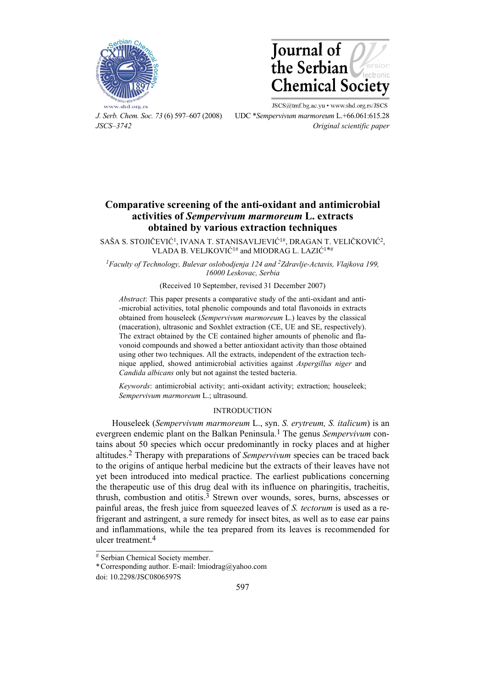



JSCS@tmf.bg.ac.yu . www.shd.org.rs/JSCS *J. Serb. Chem. Soc. 73* (6) 597–607 (2008) UDC \**Sempervivum marmoreum* L.+66.061:615.28 *JSCS–3742 Original scientific paper* 

# **Comparative screening of the anti-oxidant and antimicrobial activities of** *Sempervivum marmoreum* **L. extracts obtained by various extraction techniques**

SAŠA S. STOJIČEVIĆ1, IVANA T. STANISAVLJEVIĆ1#, DRAGAN T. VELIČKOVIĆ2, VLADA B. VELJKOVIĆ1# and MIODRAG L. LAZIĆ1\*#

*1Faculty of Technology, Bulevar oslobodjenja 124 and 2Zdravlje-Actavis, Vlajkova 199, 16000 Leskovac, Serbia* 

## (Received 10 September, revised 31 December 2007)

*Abstract*: This paper presents a comparative study of the anti-oxidant and anti- -microbial activities, total phenolic compounds and total flavonoids in extracts obtained from houseleek (*Sempervivum marmoreum* L.) leaves by the classical (maceration), ultrasonic and Soxhlet extraction (CE, UE and SE, respectively). The extract obtained by the CE contained higher amounts of phenolic and flavonoid compounds and showed a better antioxidant activity than those obtained using other two techniques. All the extracts, independent of the extraction technique applied, showed antimicrobial activities against *Aspergillus niger* and *Candida albicans* only but not against the tested bacteria.

*Keywords*: antimicrobial activity; anti-oxidant activity; extraction; houseleek; *Sempervivum marmoreum* L.; ultrasound.

## INTRODUCTION

Houseleek (*Sempervivum marmoreum* L., syn. *S. erytreum, S. italicum*) is an evergreen endemic plant on the Balkan Peninsula.1 The genus *Sempervivum* contains about 50 species which occur predominantly in rocky places and at higher altitudes.2 Therapy with preparations of *Sempervivum* species can be traced back to the origins of antique herbal medicine but the extracts of their leaves have not yet been introduced into medical practice. The earliest publications concerning the therapeutic use of this drug deal with its influence on pharingitis, tracheitis, thrush, combustion and otitis.<sup>3</sup> Strewn over wounds, sores, burns, abscesses or painful areas, the fresh juice from squeezed leaves of *S. tectorum* is used as a refrigerant and astringent, a sure remedy for insect bites, as well as to ease ear pains and inflammations, while the tea prepared from its leaves is recommended for ulcer treatment.4

 $\overline{a}$ 

<sup>#</sup> Serbian Chemical Society member.

<sup>\*</sup> Corresponding author. E-mail: lmiodrag@yahoo.com

doi: 10.2298/JSC0806597S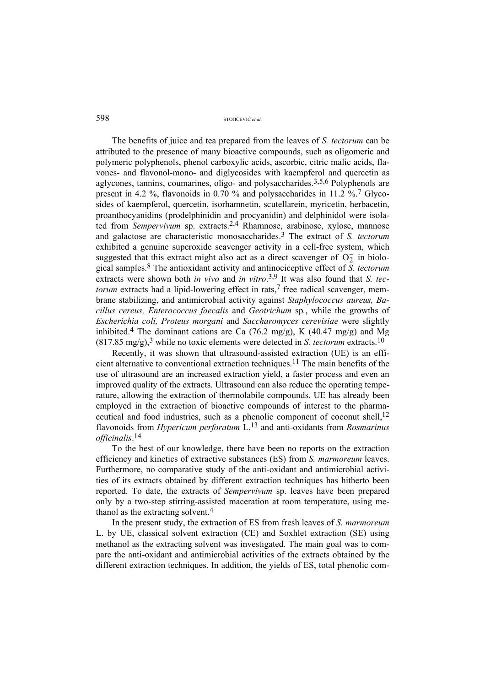The benefits of juice and tea prepared from the leaves of *S. tectorum* can be attributed to the presence of many bioactive compounds, such as oligomeric and polymeric polyphenols, phenol carboxylic acids, ascorbic, citric malic acids, flavones- and flavonol-mono- and diglycosides with kaempferol and quercetin as aglycones, tannins, coumarines, oligo- and polysaccharides.3,5,6 Polyphenols are present in 4.2 %, flavonoids in 0.70 % and polysaccharides in 11.2 %.7 Glycosides of kaempferol, quercetin, isorhamnetin, scutellarein, myricetin, herbacetin, proanthocyanidins (prodelphinidin and procyanidin) and delphinidol were isolated from *Sempervivum* sp. extracts.2,4 Rhamnose, arabinose, xylose, mannose and galactose are characteristic monosaccharides.3 The extract of *S. tectorum* exhibited a genuine superoxide scavenger activity in a cell-free system, which suggested that this extract might also act as a direct scavenger of  $O<sub>2</sub>$  in biological samples.8 The antioxidant activity and antinociceptive effect of *S*. *tectorum*  extracts were shown both *in vivo* and *in vitro*.<sup>3,9</sup> It was also found that *S. tectorum* extracts had a lipid-lowering effect in rats,<sup>7</sup> free radical scavenger, membrane stabilizing, and antimicrobial activity against *Staphylococcus aureus, Bacillus cereus, Enterococcus faecalis* and *Geotrichum* sp*.*, while the growths of *Escherichia coli, Proteus morgani* and *Saccharomyces cerevisiae* were slightly inhibited.<sup>4</sup> The dominant cations are Ca (76.2 mg/g), K (40.47 mg/g) and Mg  $(817.85 \text{ mg/g})$ ,<sup>3</sup> while no toxic elements were detected in *S. tectorum* extracts.<sup>10</sup>

Recently, it was shown that ultrasound-assisted extraction (UE) is an efficient alternative to conventional extraction techniques.11 The main benefits of the use of ultrasound are an increased extraction yield, a faster process and even an improved quality of the extracts. Ultrasound can also reduce the operating temperature, allowing the extraction of thermolabile compounds. UE has already been employed in the extraction of bioactive compounds of interest to the pharmaceutical and food industries, such as a phenolic component of coconut shell,<sup>12</sup> flavonoids from *Hypericum perforatum* L.13 and anti-oxidants from *Rosmarinus officinalis*. 14

To the best of our knowledge, there have been no reports on the extraction efficiency and kinetics of extractive substances (ES) from *S. marmoreum* leaves. Furthermore, no comparative study of the anti-oxidant and antimicrobial activities of its extracts obtained by different extraction techniques has hitherto been reported. To date, the extracts of *Sempervivum* sp. leaves have been prepared only by a two-step stirring-assisted maceration at room temperature, using methanol as the extracting solvent.4

In the present study, the extraction of ES from fresh leaves of *S. marmoreum* L. by UE, classical solvent extraction (CE) and Soxhlet extraction (SE) using methanol as the extracting solvent was investigated. The main goal was to compare the anti-oxidant and antimicrobial activities of the extracts obtained by the different extraction techniques. In addition, the yields of ES, total phenolic com-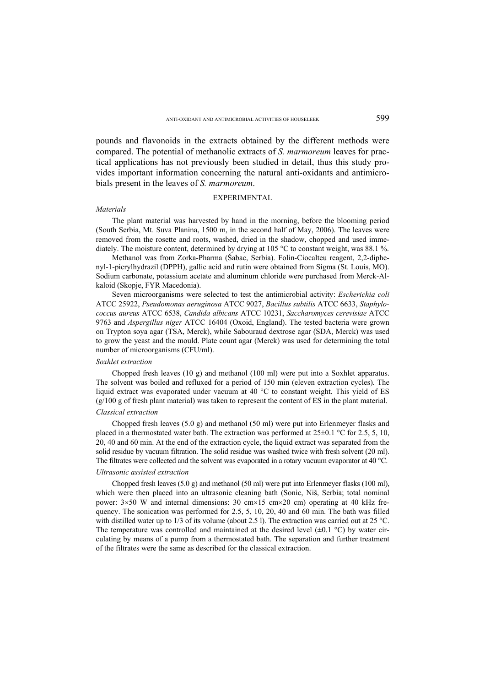pounds and flavonoids in the extracts obtained by the different methods were compared. The potential of methanolic extracts of *S. marmoreum* leaves for practical applications has not previously been studied in detail, thus this study provides important information concerning the natural anti-oxidants and antimicrobials present in the leaves of *S. marmoreum*.

#### EXPERIMENTAL

#### *Materials*

The plant material was harvested by hand in the morning, before the blooming period (South Serbia, Mt. Suva Planina, 1500 m, in the second half of May, 2006). The leaves were removed from the rosette and roots, washed, dried in the shadow, chopped and used immediately. The moisture content, determined by drying at 105 °C to constant weight, was 88.1 %.

Methanol was from Zorka-Pharma (Šabac, Serbia). Folin-Ciocalteu reagent, 2,2-diphenyl-1-picrylhydrazil (DPPH), gallic acid and rutin were obtained from Sigma (St. Louis, MO). Sodium carbonate, potassium acetate and aluminum chloride were purchased from Merck-Alkaloid (Skopje, FYR Macedonia).

Seven microorganisms were selected to test the antimicrobial activity: *Escherichia coli* ATCC 25922, *Pseudomonas aeruginosa* ATCC 9027, *Bacillus subtilis* ATCC 6633, *Staphylococcus aureus* ATCC 6538, *Candida albicans* ATCC 10231, *Saccharomyces cerevisiae* ATCC 9763 and *Aspergillus niger* ATCC 16404 (Oxoid, England). The tested bacteria were grown on Trypton soya agar (TSA, Merck), while Sabouraud dextrose agar (SDA, Merck) was used to grow the yeast and the mould. Plate count agar (Merck) was used for determining the total number of microorganisms (CFU/ml).

#### *Soxhlet extraction*

Chopped fresh leaves (10 g) and methanol (100 ml) were put into a Soxhlet apparatus. The solvent was boiled and refluxed for a period of 150 min (eleven extraction cycles). The liquid extract was evaporated under vacuum at 40 °C to constant weight. This yield of ES  $(g/100 g$  of fresh plant material) was taken to represent the content of ES in the plant material.

## *Classical extraction*

Chopped fresh leaves (5.0 g) and methanol (50 ml) were put into Erlenmeyer flasks and placed in a thermostated water bath. The extraction was performed at  $25\pm0.1$  °C for 2.5, 5, 10, 20, 40 and 60 min. At the end of the extraction cycle, the liquid extract was separated from the solid residue by vacuum filtration. The solid residue was washed twice with fresh solvent (20 ml). The filtrates were collected and the solvent was evaporated in a rotary vacuum evaporator at 40 °C.

## *Ultrasonic assisted extraction*

Chopped fresh leaves (5.0 g) and methanol (50 ml) were put into Erlenmeyer flasks (100 ml), which were then placed into an ultrasonic cleaning bath (Sonic, Niš, Serbia; total nominal power: 3×50 W and internal dimensions: 30 cm×15 cm×20 cm) operating at 40 kHz frequency. The sonication was performed for 2.5, 5, 10, 20, 40 and 60 min. The bath was filled with distilled water up to 1/3 of its volume (about 2.5 l). The extraction was carried out at 25 °C. The temperature was controlled and maintained at the desired level  $(\pm 0.1 \degree C)$  by water circulating by means of a pump from a thermostated bath. The separation and further treatment of the filtrates were the same as described for the classical extraction.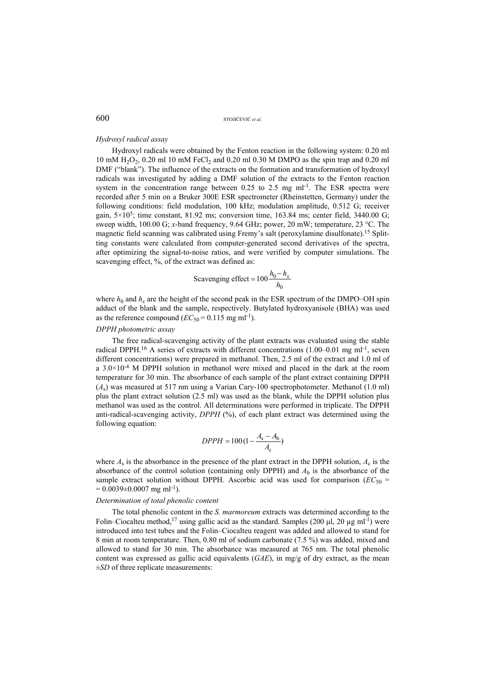#### *Hydroxyl radical assay*

Hydroxyl radicals were obtained by the Fenton reaction in the following system: 0.20 ml 10 mM  $H_2O_2$ , 0.20 ml 10 mM FeCl<sub>2</sub> and 0.20 ml 0.30 M DMPO as the spin trap and 0.20 ml DMF ("blank"). The influence of the extracts on the formation and transformation of hydroxyl radicals was investigated by adding a DMF solution of the extracts to the Fenton reaction system in the concentration range between  $0.25$  to  $2.5$  mg ml<sup>-1</sup>. The ESR spectra were recorded after 5 min on a Bruker 300E ESR spectrometer (Rheinstetten, Germany) under the following conditions: field modulation, 100 kHz; modulation amplitude, 0.512 G; receiver gain,  $5\times10^5$ ; time constant, 81.92 ms; conversion time, 163.84 ms; center field, 3440.00 G; sweep width, 100.00 G; *x*-band frequency, 9.64 GHz; power, 20 mW; temperature, 23 °C. The magnetic field scanning was calibrated using Fremy's salt (peroxylamine disulfonate).15 Splitting constants were calculated from computer-generated second derivatives of the spectra, after optimizing the signal-to-noise ratios, and were verified by computer simulations. The scavenging effect, %, of the extract was defined as:

Scavenging effect = 
$$
100 \frac{h_0 - h_x}{h_0}
$$

where  $h_0$  and  $h_x$  are the height of the second peak in the ESR spectrum of the DMPO–OH spin adduct of the blank and the sample, respectively. Butylated hydroxyanisole (BHA) was used as the reference compound  $(EC_{50} = 0.115 \text{ mg ml}^{-1})$ .

## *DPPH photometric assay*

The free radical-scavenging activity of the plant extracts was evaluated using the stable radical DPPH.16 A series of extracts with different concentrations (1.00–0.01 mg ml-1, seven different concentrations) were prepared in methanol. Then, 2.5 ml of the extract and 1.0 ml of a  $3.0\times10^{-4}$  M DPPH solution in methanol were mixed and placed in the dark at the room temperature for 30 min. The absorbance of each sample of the plant extract containing DPPH  $(A<sub>s</sub>)$  was measured at 517 nm using a Varian Cary-100 spectrophotometer. Methanol  $(1.0 \text{ ml})$ plus the plant extract solution (2.5 ml) was used as the blank, while the DPPH solution plus methanol was used as the control. All determinations were performed in triplicate. The DPPH anti-radical-scavenging activity, *DPPH* (%), of each plant extract was determined using the following equation:

$$
DPPH = 100 \left(1 - \frac{A_{\rm s} - A_{\rm b}}{A_{\rm c}}\right)
$$

where  $A_s$  is the absorbance in the presence of the plant extract in the DPPH solution,  $A_c$  is the absorbance of the control solution (containing only DPPH) and  $A<sub>b</sub>$  is the absorbance of the sample extract solution without DPPH. Ascorbic acid was used for comparison ( $EC_{50}$  =  $= 0.0039 \pm 0.0007$  mg ml<sup>-1</sup>).

#### *Determination of total phenolic content*

The total phenolic content in the *S. marmoreum* extracts was determined according to the Folin–Ciocalteu method,<sup>17</sup> using gallic acid as the standard. Samples (200 µl, 20 µg ml<sup>-1</sup>) were introduced into test tubes and the Folin–Ciocalteu reagent was added and allowed to stand for 8 min at room temperature. Then, 0.80 ml of sodium carbonate (7.5 %) was added, mixed and allowed to stand for 30 min. The absorbance was measured at 765 nm. The total phenolic content was expressed as gallic acid equivalents (*GAE*), in mg/g of dry extract, as the mean ±*SD* of three replicate measurements: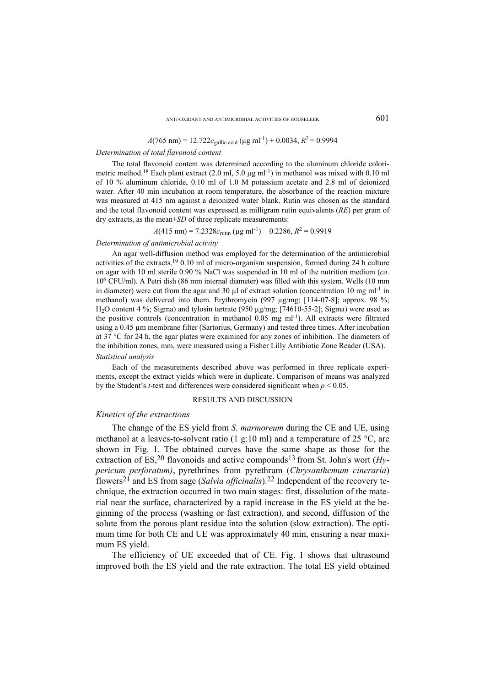## $A(765 \text{ nm}) = 12.722c_{\text{gallic acid}} (\mu \text{g m}l^{-1}) + 0.0034, R^2 = 0.9994$

## *Determination of total flavonoid content*

The total flavonoid content was determined according to the aluminum chloride colorimetric method.<sup>18</sup> Each plant extract (2.0 ml, 5.0 µg ml<sup>-1</sup>) in methanol was mixed with 0.10 ml of 10 % aluminum chloride, 0.10 ml of 1.0 M potassium acetate and 2.8 ml of deionized water. After 40 min incubation at room temperature, the absorbance of the reaction mixture was measured at 415 nm against a deionized water blank. Rutin was chosen as the standard and the total flavonoid content was expressed as milligram rutin equivalents (*RE*) per gram of dry extracts, as the mean±*SD* of three replicate measurements:

 $A(415 \text{ nm}) = 7.2328c_{\text{rutin}} (\mu \text{g m}l^{-1}) - 0.2286, R^2 = 0.9919$ 

#### *Determination of antimicrobial activity*

An agar well-diffusion method was employed for the determination of the antimicrobial activities of the extracts.19 0.10 ml of micro-organism suspension, formed during 24 h culture on agar with 10 ml sterile 0.90 % NaCl was suspended in 10 ml of the nutrition medium (*ca*. 106 CFU/ml). A Petri dish (86 mm internal diameter) was filled with this system. Wells (10 mm in diameter) were cut from the agar and 30  $\mu$ l of extract solution (concentration 10 mg ml<sup>-1</sup> in methanol) was delivered into them. Erythromycin (997 ug/mg; [114-07-8]; approx. 98 %; H2O content 4 %; Sigma) and tylosin tartrate (950 µg/mg; [74610-55-2]; Sigma) were used as the positive controls (concentration in methanol  $0.05$  mg ml<sup>-1</sup>). All extracts were filtrated using a 0.45 µm membrane filter (Sartorius, Germany) and tested three times. After incubation at 37 °C for 24 h, the agar plates were examined for any zones of inhibition. The diameters of the inhibition zones, mm, were measured using a Fisher Lilly Antibiotic Zone Reader (USA). *Statistical analysis* 

Each of the measurements described above was performed in three replicate experiments, except the extract yields which were in duplicate. Comparison of means was analyzed by the Student's *t*-test and differences were considered significant when *p* < 0.05.

#### RESULTS AND DISCUSSION

## *Kinetics of the extractions*

The change of the ES yield from *S. marmoreum* during the CE and UE, using methanol at a leaves-to-solvent ratio (1 g:10 ml) and a temperature of 25  $^{\circ}$ C, are shown in Fig. 1. The obtained curves have the same shape as those for the extraction of ES,<sup>20</sup> flavonoids and active compounds<sup>13</sup> from St. John's wort (*Hypericum perforatum)*, pyrethrines from pyrethrum (*Chrysanthemum cineraria*) flowers21 and ES from sage (*Salvia officinalis*).22 Independent of the recovery technique, the extraction occurred in two main stages: first, dissolution of the material near the surface, characterized by a rapid increase in the ES yield at the beginning of the process (washing or fast extraction), and second, diffusion of the solute from the porous plant residue into the solution (slow extraction). The optimum time for both CE and UE was approximately 40 min, ensuring a near maximum ES yield.

The efficiency of UE exceeded that of CE. Fig. 1 shows that ultrasound improved both the ES yield and the rate extraction. The total ES yield obtained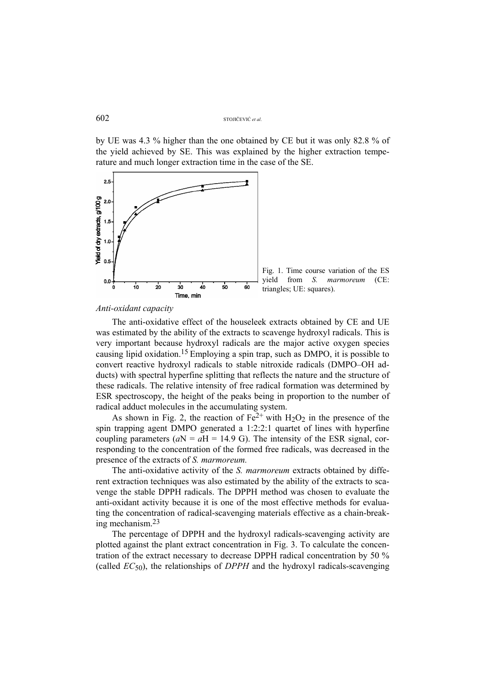by UE was 4.3 % higher than the one obtained by CE but it was only 82.8 % of the yield achieved by SE. This was explained by the higher extraction temperature and much longer extraction time in the case of the SE.



#### *Anti-oxidant capacity*

The anti-oxidative effect of the houseleek extracts obtained by CE and UE was estimated by the ability of the extracts to scavenge hydroxyl radicals. This is very important because hydroxyl radicals are the major active oxygen species causing lipid oxidation.15 Employing a spin trap, such as DMPO, it is possible to convert reactive hydroxyl radicals to stable nitroxide radicals (DMPO–OH adducts) with spectral hyperfine splitting that reflects the nature and the structure of these radicals. The relative intensity of free radical formation was determined by ESR spectroscopy, the height of the peaks being in proportion to the number of radical adduct molecules in the accumulating system.

As shown in Fig. 2, the reaction of  $Fe^{2+}$  with H<sub>2</sub>O<sub>2</sub> in the presence of the spin trapping agent DMPO generated a 1:2:2:1 quartet of lines with hyperfine coupling parameters  $(aN = aH = 14.9 \text{ G})$ . The intensity of the ESR signal, corresponding to the concentration of the formed free radicals, was decreased in the presence of the extracts of *S. marmoreum.* 

The anti-oxidative activity of the *S. marmoreum* extracts obtained by different extraction techniques was also estimated by the ability of the extracts to scavenge the stable DPPH radicals. The DPPH method was chosen to evaluate the anti-oxidant activity because it is one of the most effective methods for evaluating the concentration of radical-scavenging materials effective as a chain-breaking mechanism.23

The percentage of DPPH and the hydroxyl radicals-scavenging activity are plotted against the plant extract concentration in Fig. 3. To calculate the concentration of the extract necessary to decrease DPPH radical concentration by 50 % (called *EC*50), the relationships of *DPPH* and the hydroxyl radicals-scavenging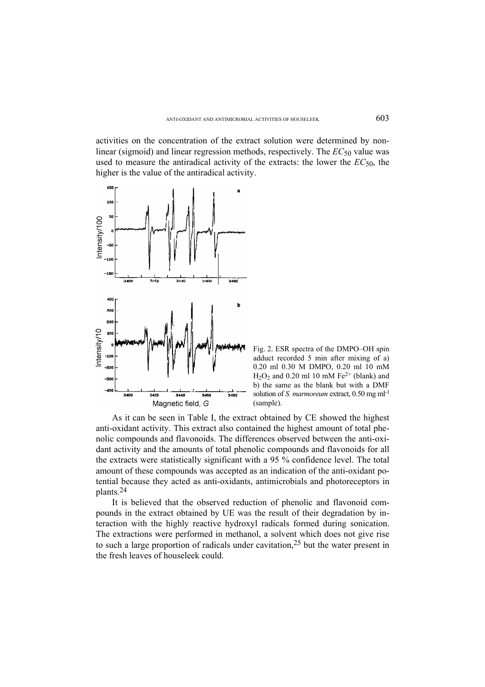activities on the concentration of the extract solution were determined by nonlinear (sigmoid) and linear regression methods, respectively. The *EC*50 value was used to measure the antiradical activity of the extracts: the lower the  $EC_{50}$ , the higher is the value of the antiradical activity.



Fig. 2. ESR spectra of the DMPO–OH spin adduct recorded 5 min after mixing of a) 0.20 ml 0.30 M DMPO, 0.20 ml 10 mM  $H<sub>2</sub>O<sub>2</sub>$  and 0.20 ml 10 mM Fe<sup>2+</sup> (blank) and b) the same as the blank but with a DMF solution of *S. marmoreum* extract, 0*.*50 mg ml-1 (sample).

As it can be seen in Table I, the extract obtained by CE showed the highest anti-oxidant activity. This extract also contained the highest amount of total phenolic compounds and flavonoids. The differences observed between the anti-oxidant activity and the amounts of total phenolic compounds and flavonoids for all the extracts were statistically significant with a 95 % confidence level. The total amount of these compounds was accepted as an indication of the anti-oxidant potential because they acted as anti-oxidants, antimicrobials and photoreceptors in plants.24

It is believed that the observed reduction of phenolic and flavonoid compounds in the extract obtained by UE was the result of their degradation by interaction with the highly reactive hydroxyl radicals formed during sonication. The extractions were performed in methanol, a solvent which does not give rise to such a large proportion of radicals under cavitation,25 but the water present in the fresh leaves of houseleek could.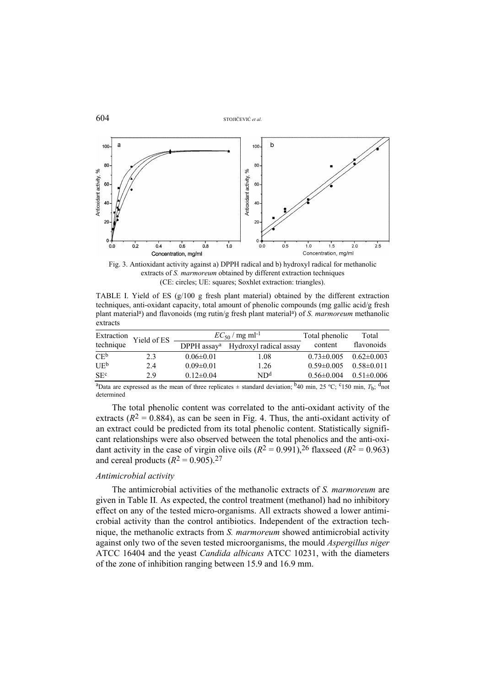```
604 STOJIČEVIĆ et al.
```


Fig. 3. Antioxidant activity against a) DPPH radical and b) hydroxyl radical for methanolic extracts of *S. marmoreum* obtained by different extraction techniques (CE: circles; UE: squares; Soxhlet extraction: triangles).

TABLE I. Yield of ES  $(g/100 g$  fresh plant material) obtained by the different extraction techniques, anti-oxidant capacity, total amount of phenolic compounds (mg gallic acid/g fresh plant materiala) and flavonoids (mg rutin/g fresh plant materiala) of *S. marmoreum* methanolic extracts

|                 | Extraction Yield of ES<br>technique |                         | $EC_{50}$ / mg ml <sup>-1</sup> | Total phenolic   | Total            |
|-----------------|-------------------------------------|-------------------------|---------------------------------|------------------|------------------|
|                 |                                     | DPPH assay <sup>a</sup> | Hydroxyl radical assay          | content          | flavonoids       |
| $CE^b$          | 2.3                                 | $0.06 \pm 0.01$         | 1.08                            | $0.73 \pm 0.005$ | $0.62 \pm 0.003$ |
| $UE^b$          | 2.4                                 | $0.09 \pm 0.01$         | 1.26                            | $0.59 \pm 0.005$ | $0.58 \pm 0.011$ |
| SE <sup>c</sup> | 29                                  | $0.12\pm0.04$           | ND <sup>d</sup>                 | $0.56 \pm 0.004$ | $0.51 \pm 0.006$ |

<sup>a</sup>Data are expressed as the mean of three replicates  $\pm$  standard deviation; <sup>b</sup>40 min, 25 °C; <sup>c</sup>150 min,  $T_{\rm b}$ ; <sup>d</sup>not determined

The total phenolic content was correlated to the anti-oxidant activity of the extracts  $(R^2 = 0.884)$ , as can be seen in Fig. 4. Thus, the anti-oxidant activity of an extract could be predicted from its total phenolic content. Statistically significant relationships were also observed between the total phenolics and the anti-oxidant activity in the case of virgin olive oils  $(R^2 = 0.991)$ , <sup>26</sup> flaxseed  $(R^2 = 0.963)$ and cereal products  $(R^2 = 0.905)$ .<sup>27</sup>

## *Antimicrobial activity*

The antimicrobial activities of the methanolic extracts of *S. marmoreum* are given in Table II*.* As expected, the control treatment (methanol) had no inhibitory effect on any of the tested micro-organisms. All extracts showed a lower antimicrobial activity than the control antibiotics. Independent of the extraction technique, the methanolic extracts from *S. marmoreum* showed antimicrobial activity against only two of the seven tested microorganisms, the mould *Aspergillus niger*  ATCC 16404 and the yeast *Candida albicans* ATCC 10231, with the diameters of the zone of inhibition ranging between 15.9 and 16.9 mm.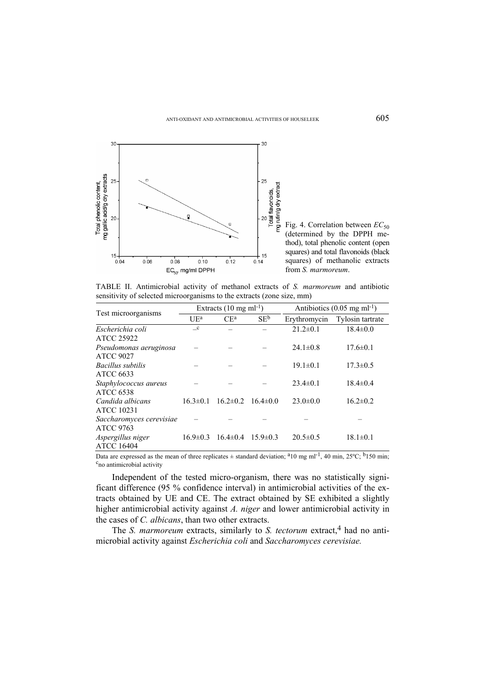

Fig. 4. Correlation between  $EC_{50}$ (determined by the DPPH method), total phenolic content (open squares) and total flavonoids (black squares) of methanolic extracts from *S. marmoreum*.

TABLE II. Antimicrobial activity of methanol extracts of *S. marmoreum* and antibiotic sensitivity of selected microorganisms to the extracts (zone size, mm)

| Test microorganisms      | Extracts $(10 \text{ mg ml}^{-1})$ |                |                | Antibiotics $(0.05 \text{ mg ml}^{-1})$ |                  |
|--------------------------|------------------------------------|----------------|----------------|-----------------------------------------|------------------|
|                          | $U E^a$                            | $CE^a$         | $SE^b$         | Erythromycin                            | Tylosin tartrate |
| Escherichia coli         | $\mathbf{C}$                       |                |                | $21.2 \pm 0.1$                          | $18.4 \pm 0.0$   |
| ATCC 25922               |                                    |                |                |                                         |                  |
| Pseudomonas aeruginosa   |                                    |                |                | $24.1 \pm 0.8$                          | $17.6 \pm 0.1$   |
| <b>ATCC 9027</b>         |                                    |                |                |                                         |                  |
| <i>Bacillus subtilis</i> |                                    |                |                | $19.1 \pm 0.1$                          | $17.3 \pm 0.5$   |
| ATCC 6633                |                                    |                |                |                                         |                  |
| Staphylococcus aureus    |                                    |                |                | $23.4 \pm 0.1$                          | $18.4\pm 0.4$    |
| <b>ATCC 6538</b>         |                                    |                |                |                                         |                  |
| Candida albicans         | $163 \pm 01$                       | $16.2 \pm 0.2$ | $16.4 \pm 0.0$ | $23.0 \pm 0.0$                          | $16.2 \pm 0.2$   |
| ATCC 10231               |                                    |                |                |                                         |                  |
| Saccharomyces cerevisiae |                                    |                |                |                                         |                  |
| <b>ATCC 9763</b>         |                                    |                |                |                                         |                  |
| Aspergillus niger        | $16.9 \pm 0.3$                     | $16.4 \pm 0.4$ | $15.9 \pm 0.3$ | $20.5 \pm 0.5$                          | $18.1 \pm 0.1$   |
| <b>ATCC 16404</b>        |                                    |                |                |                                         |                  |

Data are expressed as the mean of three replicates  $\pm$  standard deviation; <sup>a</sup>10 mg ml<sup>-1</sup>, 40 min, 25°C; <sup>b</sup>150 min; <sup>c</sup>no antimicrobial activity

Independent of the tested micro-organism, there was no statistically significant difference (95 % confidence interval) in antimicrobial activities of the extracts obtained by UE and CE. The extract obtained by SE exhibited a slightly higher antimicrobial activity against *A. niger* and lower antimicrobial activity in the cases of *C. albicans*, than two other extracts.

The *S. marmoreum* extracts, similarly to *S. tectorum* extract,<sup>4</sup> had no antimicrobial activity against *Escherichia coli* and *Saccharomyces cerevisiae.*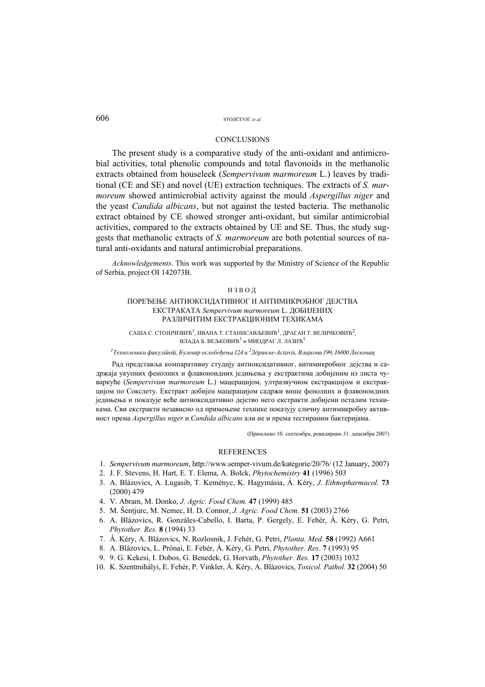#### **CONCLUSIONS**

The present study is a comparative study of the anti-oxidant and antimicrobial activities, total phenolic compounds and total flavonoids in the methanolic extracts obtained from houseleek (*Sempervivum marmoreum* L.) leaves by traditional (CE and SE) and novel (UE) extraction techniques. The extracts of *S. marmoreum* showed antimicrobial activity against the mould *Aspergillus niger* and the yeast *Candida albicans*, but not against the tested bacteria. The methanolic extract obtained by CE showed stronger anti-oxidant, but similar antimicrobial activities, compared to the extracts obtained by UE and SE. Thus, the study suggests that methanolic extracts of *S. marmoreum* are both potential sources of natural anti-oxidants and natural antimicrobial preparations.

*Acknowledgements*. This work was supported by the Ministry of Science of the Republic of Serbia, project OI 142073B.

## ИЗВОД

## ПОРЕЂЕЊЕ АНТИОКСИДАТИВНОГ И АНТИМИКРОБНОГ ДЕЈСТВА ЕКСТРАКАТА *Sempervivum marmoreum* L. ДОБИЈЕНИХ РАЗЛИЧИТИМ ЕКСТРАКЦИОНИМ ТЕХИКАМА

САША С. СТОЈИЧЕВИЋ<sup>1</sup>, ИВАНА Т. СТАНИСАВЉЕВИЋ<sup>1</sup>, ДРАГАН Т. ВЕЛИЧКОВИЋ<sup>2</sup>, ВЛАДА Б. ВЕЉКОВИЋ<sup>1</sup> и МИОДРАГ Л. ЛАЗИЋ<sup>1</sup>

#### <sup>1</sup> Технолошки факул<del>шеш, Булевар ослобођења 124 и <sup>2</sup>Здравље-Actavis, Влајкова 199, 16000 Лесковац</del>

Рад представља компаративну студију антиоксидативног, антимикробног дејства и садржаја укупних фенолних и флавоноидних једињења у екстрактима добијеним из листа чуваркуће (*Sempervivum marmoreum* L.) мацерацијом, ултразвучном екстракцијом и екстракцијом по Сокслету. Екстракт добијен мацерацијом садржи више фенолних и флавоноидних једињења и показује веће антиоксидативнo дејство него екстракти добијени осталим техникама. Сви екстракти независно од примењене технике показују сличну антимикробну активност према *Aspergillus niger* и *Candida albicans* али не и према тестираним бактеријама.

(Примљено 10. септембра, ревидирано 31. децембра 2007)

#### **REFERENCES**

- 1. *Sempervivum marmoreum*, http://www.semper-vivum.de/kategorie/20/76/ (12 January, 2007)
- 2. J. F. Stevens, H. Hart, E. T. Elema, A. Bolck, *Phytochemistry* **41** (1996) 503
- 3. A. Blázovics, A. Lugasib, T. Keményc, K. Hagymásia, Á. Kéry, *J. Ethnopharmacol.* **73** (2000) 479
- 4. V. Abram, M. Donko, *J. Agric. Food Chem.* **47** (1999) 485
- 5. M. Šentjurc, M. Nemec, H. D. Connor, *J. Agric. Food Chem.* **51** (2003) 2766
- 6. A. Blázovics, R. Gonzáles-Cabello, I. Barta, P. Gergely, E. Fehér, Á. Kéry, G. Petri, *Phytother. Res.* **8** (1994) 33
- 7. Á. Kéry, A. Blázovics, N. Rozlosnik, J. Fehér, G. Petri, *Planta. Med.* **58** (1992) A661
- 8. A. Blázovics, L. Prónai, E. Fehér, Á. Kéry, G. Petri, *Phytother. Res.* **7** (1993) 95
- 9. 9. G. Kekesi, I. Dobos, G. Benedek, G. Horvath, *Phytother. Res.* **17** (2003) 1032
- 10. K. Szentmihályi, E. Fehér, P. Vinkler, Á. Kéry, A. Blázovics, *Toxicol. Pathol.* **32** (2004) 50